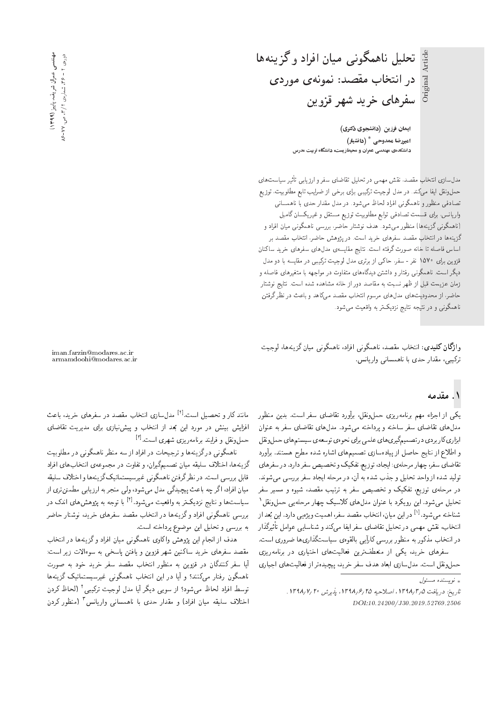تحليل ناهمگوني ميان افراد وگزينهها Original Article در انتخاب مقصد: نمونهی موردی سفرهای خرید شهر قزوین

> ایمان فرزین (دانشجوی دکتری) امیررضا ممدوحی  $^*$  (دانشیار) دانشکدهی مهندسی عمران و محیطزیست، دانشگاه تربیت مدرس

مدل سازی انتخاب مقصد. نقش مهمی در تحلیل تقاضای سفر و ارزیابی تاثیر سیاست های<br>ساحت استفاده است حملونقل ایفا میگند. در مدل لوجیت ترکیبی برای برخی از ضرایب تابع مطلوبیت، توزیع تصادفی منظور و ناهمگونی افراد لحاظ میشود. در مدل مقدار حدی با ناهمسانی واریانس، برای قسمت تصادفی توابع مطلوبیت توزیع مستقل و غیریکسان گامبل (ناهمگونی گزینهها) منظور میشود. هدف نوشتار حاضر، بررسی ناهمگونی میان افراد و گزینهها در انتخاب مقصد سفرهای خرید است. در یژوهش حاضر، انتخاب مقصد بر اساس فاصله تا خانه صورت گرفته است. نتايج مقايسهى مدل۵هاى سفرهاى خريد ساكنان قزوین برای ۱۵۷۰ نفر - سفر، حاکمی از برتری مدل لوجیت ترکیبی در مقایسه با دو مدل دیگر است. ناهمگونبی رفتار و داشتن دیدگاههای متفاوت در مواجهه با متغیرهای فاصله و زمان عزیمت قبل از ظهر نسبت به مقاصد دور از خانه مشاهده شده است. نتایج نوشتار حاضر، از محدودیت های مدل های مرسوم انتخاب مقصد میکاهد و باعث در نظر گرفتن ناهمگونبی و در نتیجه نتایج نزدیکتر به واقعیت می شود.

وا**ژگان کلیدی**: انتخاب مقصد، ناهمگونی افراد، ناهمگونی میان گزینهها، لوجیت ترکیبی، مقدار حدی با ناهمسانی واریانس.

iman.farzin@modares.ac.ir armamdoohi@modares.ac.ir

#### ۱. مقدمه

Original Article

یکی از اجزاء مهم برنامهریزی حملونقل، برآورد تقاضای سفر است. بدین منظور مدل های تقاضای سفر ساخته و پرداخته می شود. مدل های تقاضای سفر به عنوان ابزاري كار بردي در تصميمگيري هاي علمي براي نحوهي توسعهي سيستم هاي حمل ونقل و اطلاع از نتایج حاصل از پیادهسازی تصمیمهای اشاره شده مطرح هستند. برآورد تقاضاي سفر، چهار مرحلهي: ايجاد، توزيع، تفكيك و تخصيص سفر دارد. در سفرهاي تولید شده از واحد تحلیل و جذب شده به آن، در مرحله ایجاد سفر بررسی میشوند. در مرحلهی توزیع، تفکیک و تخصیص سفر به ترتیب مقصد، شیوه و مسیر سفر تحلیل می,شود. این رویکرد با عنوان مدلهای کلاسیک چهار مرحلهیی حملونقل<sup>۱</sup> بعد از<br>گذا شناخته مىشود.<sup>[۱]</sup> دراين ميان، انتخاب مقصد سفر، اهميت ويژهيى دارد. اين :<br>استاد على مقدر در انتخاب مذکور به منظور بررسی کارآیی بالقوهی سیاستگذاریها ضروری است. -=D pt=wa |}=U=vW w Ovm|t =i}= QiU |=[=kD p}rLD QO |tyt Vkv '?=NDv= در اسحاب مددور به منطور بررسی تارایی بالقوهی سیاستنداریها صروری است.<br>مساحات است که است که ساحات است است است است و مان

سفرهای حرید، یکی از منعطف رین فعالیت های احتیاری در برنامه ریزی<br>مقابل مقدمات استفاده حمل ونقل است. مدل سازي ابعاد هدف سفر خريد، پيچيدهتر از فعاليتهاي اجباري

ماسد تار و تحصیل است. ۲۰۰۰ مدل سازی اسحاب مقصد در سفرهای حرید، باعث<br>از این میده مانند کار و تحصیل است.<sup>[1]</sup> مدلسازی انتخاب مقصد در سفرهای خرید، باعث اقرایس بیسن در مورد این بعد از اسحاب و پیس بازی برای مدیریت تقاضای<br>- اینتا بیفارد بیابی میشود و ایستا<sup>19</sup> حملونقل و فرایند برنامهریزی شهری است.<sup>[۳]</sup><br>مالستگیری گرفتگی می است

ناهمگونی درگزینهها و ترجیحات در افراد از سه منظر ناهمگونی در مطلوبیت<br>گزینهها، اختلاف سلیقه میان تصمیمگیران، و تفاوت در مجموعهی انتخابهای افراد O=Qi= |=y?=NDv= |xawtHt QO Cw=iD w 'u=Q}os}tYD u=}t xk}rU hqDN= '=yxv} Ro قابل بررسی است. در نظر درفتن ناهمدونی عیرسیستمانیک دریمه ها و احتلاف سنیفه<br>استان استکشار و است میان افراد، اگر چه باعث پیچیدگی مدل می شود، ولی منجر به ارزیابی مطمئن تری از سیاست ها و نتایج نزدیک تر به واقعیت میشود.<sup>[۴]</sup> با توجه به پژوهش های اندک در<br>بار گروه از این گروه از این بار بار بار بار بررسی ناهمگونی افراد وگزینهها در انتخاب مقصد سفرهای خرید، نوشتار حاضر

به بررسی و تحلیل این موضوع پرداخته است.<br>هدف از انجام این یژوهش واکاوی ناهمگونی میان افراد و گزینهها در انتخاب هدف از انجام این پژوهس وا ناوی ناهمدونی میان افراد و درینهها در اسحاب<br>مسلمات از است مفصد سفرهای حرید سانسن سهر فروین و یافتن پاسخی به سوءالات زیر است:<br>آیا مسلم کار است. آیا سفر کنندگان در قزوین به منظور انتخاب مقصد سفر خرید خود به صورت<br>ناهمگون رفتار میکنند؟ و آیا در این انتخاب ناهمگونی غیرسیستماتیک گزینهها =yxv} Ro l}D=tDU}UQ}e |vwoty=v ?=NDv= u}= QO =}; w #Ovvm|t Q=DiQ uwoty=v توسط افراد لحاظ میشود؟ از سویی دیگر ایا مدل لوجیت ترکیبی' (لحاظ کردن<br>اینا در سایت سایسانیا به ستیمان میکند اینان سایس این سایسانی کردن اختلاف سليقه ميان افراد) و مقدار حدى با ناهمسانى واريانس ّ (منظور كردن

<sup>»</sup> نويسنده مسئول

تاريخ: دريافت ١٣٩٨/٢٩ ١، اصلاحيه ١٣٩٨/٤ ١٣٩٨، يذيرش ١٣٩٨/٧/٢٠. DOI:10.24200/J30.2019.52769.2506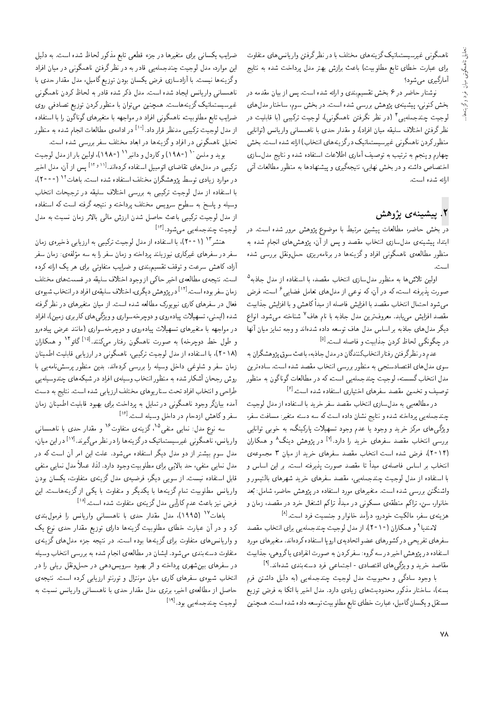ناهمگونی غیرسیستماتیک گزینههای مختلف با در نظرگرفتن واریانس های متفاوت برای عبارت خطای تابع مطلوبیت) باعث برازش بهتر مدل پرداخت شده به نتایج آمارگيري مي شود؟

نوشتار حاضر در ۶ بخش تقسیم.بندی و ارائه شده است. پس از بیان مقدمه در .<br>بخش کنونی، پیشینه ی پژوهش بررسی شده است. در بخش سوم، ساختار مدل های لوجیت چندجمله یی ٔ (در نظر نگرفتن ناهمگونی)، لوجیت ترکیبی (با قابلیت در نظر گرفتن اختلاف سليقه ميان افراد)، و مقدار حدى با ناهمساني واريانس (توانايي منظوركردن ناهمگونى غيرسيستماتيك درگزينههاى انتخاب) ارائه شده است. بخش چهارم و ینجم به ترتیب به توصیف آماری اطلاعات استفاده شده و نتایج مدل سازی اختصاص داشته و در بخش نهایی، نتیجهگیری و پیشنهادها به منظور مطالعات آتی ارائه شده است.

#### ۲. ييشينەي يژوهش

در بخش حاضر، مطالعات پیشین مرتبط با موضوع پژوهش مرور شده است. در ابتدا، پیشینهی مدل سازی انتخاب مقصد و پس از آن، پژوهش های انجام شده به منظور مطالعهى ناهمگونى افراد وكزينهها در برنامهريزى حملونقل بررسى شده است

اولین تلاشها به منظور مدلسازی انتخاب مقصد، با استفاده از مدل جاذبه<sup>۵</sup> صورت پذیرفته است، که در آن، که نوعی از مدلهای تعامل فضایی<sup>ع</sup> است، فرض می شود احتمال انتخاب مقصد با افزایش فاصله از مبدأ کاهش و با افزایش جذابیت مقصد افزایش می،یابد. معروفترین مدل جاذبه با نام هاف<sup>۷</sup> شناخته می شود. انواع دیگر مدل های جاذبه بر اساس مدل هاف توسعه داده شدهاند و وجه تمایز میان آنها در چگونگی لحاظ کردن جذابیت و فاصله است.<sup>[۵]</sup>

عدم در نظرگرفتن رفتارانتخابکنندگان در مدل جاذبه، باعث سوق پژوهشگران به سوی مدلهای اقتصادسنجی به منظور بررسی انتخاب مقصد شده است. سادهترین مدل انتخاب گسسته، لوجیت چندجملهیی است، که در مطالعات گوناگون به منظور توصیف و تخمین مقصد سفرهای اختیاری استفاده شده است. $^{[\hat{r}]}$ 

در مطالعه یی به مدل سازی انتخاب مقصد سفر خرید با استفاده از مدل لوجیت چندجملهیی پرداخته شده و نتایج نشان داده است که سه دسته متغیر: مسافت سفر، ویژگی های مرکز خرید و وجود یا عدم وجود تسهیلات پارکینگ، به خوبی توانایی بررسی انتخاب مقصد سفرهای خرید را دارد.<sup>[۷]</sup> در پژوهش دینگ<sup>۸</sup> و همکاران (۲۰۱۴)، فرض شده است انتخاب مقصد سفرهای خرید از میان ۳ مجموعهی انتخاب بر اساس فاصلهى مبدأ تا مقصد صورت يذيرفته است. بر اين اساس و با استفاده از مدل لوجیت چندجملهیی، مقصد سفرهای خرید شهرهای بالتیمور و واشنگتن بررسی شده است. متغیرهای مورد استفاده در پژوهش حاضر، شامل: بَعد خانوار، سن، تراکم منطقهی مسکونی در مبدأ، تراکم اشتغال خرد در مقصد، زمان و هزينهي سفر، مالكيت خودرو، درآمد خانوار و جنسيت فرد است. <sup>[٨]</sup>

لامندیا ۹ و همکاران (۱۰ ۲۰)، از مدل لوجیت چندجملهیی برای انتخاب مقصد سفرهای تفریحی درکشورهای عضو اتحادیهی اروپا استفاده کردهاند. متغیرهای مورد استفاده در پژوهش اخیر در سه گروه: سفر کردن به صورت انفرادی یا گروهی، جذابیت مقاصد خرید و ویژگی های اقتصادی - اجتماعی فرد دستهبندی شدهاند.[۹]

با وجود سادگی و محبوبیت مدل لوجیت چندجملهیی (به دلیل داشتن فرم بسته)، ساختار مذکور محدودیتهای زیادی دارد. مدل اخیر با اتکا به فرض توزیع مستقل و يكسان گامبل، عبارت خطاي تابع مطلوبيت توسعه داده شده است. همچنين

ضرایب یکسانی برای متغیرها در جزء قطعی تابع مذکور لحاظ شده است. به دلیل این موارد، مدل لوجیت چندجملهیی قادر به در نظرگرفتن ناهمگونی در میان افراد وگزینهها نیست. با آزادسازی فرض یکسان بودن توزیع گامبل، مدل مقدار حدی با ناهمسانی واریانس ایجاد شده است. مدل ذکر شده قادر به لحاظ کردن ناهمگونی غیرسیستماتیک گزینههاست. همچنین میهتوان با منظورکردن توزیع تصادفی روی ضرایب تابع مطلوبیت، ناهمگونی افراد در مواجهه با متغیرهای گوناگون را با استفاده از مدل لوجیت ترکیبی مدنظر قرار داد.<sup>[۱۰]</sup> در ادامهی مطالعات انجام شده به منظور تحلیل ناهمگونی در افراد و گزینهها در ابعاد مختلف سفر بررسی شده است.

بويد و ملمن " ( ١٩٨٠) وكاردل و دانبر ١ ( ١٩٨٠)، اولين بار از مدل لوجيت ترکیبی در مدلهای تقاضای اتومبیل استفاده کردهاند.<sup>[۱۱</sup>٬۰۱<sup>۱]</sup> پس از آن، مدل اخیر در موارد زیادی توسط بژوهشگران مختلف استفاده شده است. باهات<sup>۱۲</sup> (۲۰۰۰)، با استفاده از مدل لوجیت ترکیبی به بررسی اختلاف سلیقه در ترجیحات انتخاب وسیله و پاسخ به سطوح سرویس مختلف پرداخته و نتیجه گرفته است که استفاده از مدل لوجیت ترکیبی باعث حاصل شدن ارزش مالی بالاتر زمان نسبت به مدل لوجیت چندجملهیی میشود.[۱۳]

هنشر<sup>۱۳</sup> (۲۰۰۱)، با استفاده از مدل لوجیت ترکیبی به ارزیابی ذخیرهی زمان سفر در سفرهای غیرکاری نیوزیلند پرداخته و زمان سفر را به سه مؤلفهی: زمان سفر آزاد، کاهش سرعت و توقف تقسیم بندی و ضرایب متفاوتی برای هر یک ارائه کرده است. نتیجه ی مطالعه ی اخیر حاکمی از وجود اختلاف سلیقه در قسمت های مختلف زمان سفر بوده است.<sup>[۱۴]</sup> در پژوهش دیگری، اختلاف سلیقهی افراد در انتخاب شیوه ی فعال در سفرهای کاری نیویورک مطالعه شده است. از میان متغیرهای در نظر گرفته .<br>شده (ایمنی، تسهیلات پیادهروی و دوچرخهسواری و ویژگی های کاربری زمین)، افراد در مواجهه با متغیرهای تسهیلات ییاده٫ری و دوچرخهسواری (مانند عرض بیاده٫رو و طول خط دوچرخه) به صورت ناهمگون رفتار میکنند.<sup>[۱۵]</sup> گائو<sup>۱۴</sup> و همکاران (۱۸ °۲)، با استفاده از مدل لوجیت ترکیبی، ناهمگونی در ارزیابی قابلیت اطمینان زمان سفر و شلوغی داخل وسیله را بررسی کردهاند. بدین منظور پرسش نامه یی با روش رجحان آشکار شده به منظور انتخاب وسیلهی افراد در شیکههای حندوسیلهیی طراحي و انتخاب افراد تحت سنار يوهاي مختلف ارزيابي شده است. نتايج به دست آمده بیانگر وجود ناهمگونی در تمایل به پرداخت برای بهبود قابلیت اطمینان زمان سفر و کاهش ازدحام در داخل وسیله است.<sup>[۱۶]</sup>

سه نوع مدل: نمای<sub>می</sub> منفی<sup>۱۵</sup>، گزینهی متفاوت<sup>۱۶</sup> و مقدار حدی با ناهمسان<sub>می</sub> واریانس، ناهمگونی غیرسیستماتیک درگزینهها را در نظر میگیرند.<sup>[۱۷]</sup> در این میان، مدل سوم بیشتر از دو مدل دیگر استفاده می شود. علت این امر آن است که در مدل نمایی منفی، حد بالایی برای مطلوبیت وجود دارد. لذا، عملاً مدل نمایی منفی قابل استفاده نیست. از سویی دیگر، فرضیهی مدل گزینهی متفاوت، یکسان بودن واریانس مطلوبیت تمام گزینهها با یکدیگر و متفاوت با یکی از گزینههاست. این فرض نیز باعث عدم کارأیی مدل گزینهی متفاوت شده است.<sup>[۱۸]</sup>

باهات<sup>۱۷</sup> (۱۹۹۵)، مدل مقدار حدی با ناهمسانی واریانس را فرمول بندی کرد و در آن عبارت خطای مطلوبیت گزینهها دارای توزیع مقدار حدی نوع یک و واریانس های متفاوت برای گزینهها بوده است. در نتیجه جزء مدل های گزینهی متفاوت دستهبندی مه شود. ایشان در مطالعهی انجام شده به بررسی انتخاب وسیله در سفرهای بینشهری برداخته و اثر بهبود سرویس دهی در حمل ونقل ریلی را در انتخاب شیوهی سفرهای کاری میان مونترال و تورنتو ارزیابی کرده است. نتیجهی حاصل از مطالعهى اخير، برترى مدل مقدار حدى با ناهمسانى واريانس نسبت به لوجيت چندجملهيي بود.<sup>[۱۹]</sup>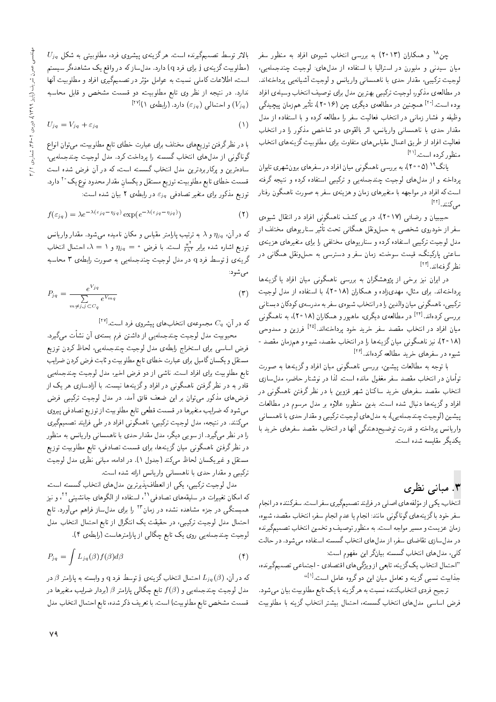چن <sup>۱۸</sup> و همکاران (۲۰۱۳) به بررسی انتخاب شیوهی افراد به منظور سفر میان سیدنی و ملبورن در استرالیا با استفاده از مدل های: لوجیت چندجملهیی، لوجيت تركيبي، مقدار حدى با ناهمساني واريانس و لوجيت أشيانهيي يرداختهاند. در مطالعهى مذكور، لوجيت تركيبي بهترين مدل براي توصيف انتخاب وسيلهى افراد بوده است.<sup>[۲۰]</sup> همچنین در مطالعهی دیگری چن (۲۰۱۶)، تأثیر همزمان پیچیدگی وظيفه و فشار زماني در انتخاب فعاليت سفر را مطالعه كرده و با استفاده از مدل مقدار حدی با ناهمسانی واریانس، اثر بالقوهی دو شاخص مذکور را در انتخاب فعاليت افراد از طريق اعمال مقياس هاى متفاوت براى مطلوبيت گزينههاى انتخاب منظور كرده است.<sup>[11]</sup>

یانگ<sup>۱۹</sup> (۲۰۰۵)، به بررسی ناهمگونی میان افراد در سفرهای برونشهری تایوان پرداخته و از مدلهای لوجیت چندجملهیی و ترکیبی استفاده کرده و نتیجه گرفته است که افراد در مواجهه با متغیرهای زمان و هزینهی سفر به صورت ناهمگون رفتار مى كنند. [<sup>٢٢]</sup>

حبیبیان و رضائی (۱۷°۱۲)، در پی کشف ناهمگونی افراد در انتقال شیوهی سفر از خودروی شخصی به حملونقل همگانی تحت تأثیر سناریوهای مختلف از مدل لوجیت ترکیبی استفاده کرده و سناریوهای مختلفی را برای متغیرهای هزینهی ساعتی پارکینگ، قیمت سوخت، زمان سفر و دسترسی به حملونقل همگانی در نظر گرفتهاند. [<sup>۲۳]</sup>

در ایران نیز برخی از پژوهشگران به بررسی ناهمگونی میان افراد یا گزینهها پرداختهاند. برای مثال، مهدیزاده و همکاران (۱۸ °۲)، با استفاده از مدل لوجیت ترکیبی، ناهمگونی میان والدین را در انتخاب شیوهی سفر به مدرسه ی کودکان دبستانی بررسی کردهاند.<sup>[۲۴]</sup> در مطالعهی دیگری، ماهپور و همکاران (۱۸°۲)، به ناهمگونی میان افراد در انتخاب مقصد سفر خرید خود پرداختهاند.<sup>[۲۵]</sup> فرزین و ممدوحی (۱۸ ° ۲)، نیز ناهمگونی میان گزینهها را در انتخاب مقصد، شیوه و هم;مان مقصد -شیوه در سفرهای خرید مطالعه کردهاند.<sup>[۲۶]</sup>

با توجه به مطالعات پیشین، بررسی ناهمگونی میان افراد وگزینهها به صورت توأمان در انتخاب مقصد سفر مغفول مانده است. لذا در نوشتار حاضر، مدل سازی انتخاب مقصد سفرهای خرید ساکنان شهر قزوین با در نظر گرفتن ناهمگونی در افراد وگزینهها دنبال شده است. بدین منظور، علاوه بر مدل مرسوم در مطالعات پیشین (لوجیت چندجمله یی)، به مدلهای لوجیت ترکیبی و مقدار حدی با ناهمسانی واریانس پرداخته و قدرت توضیحدهندگی أنها در انتخاب مقصد سفرهای خرید با يكديگر مقايسه شده است.

## ۳. مبانی نظری

انتخاب، يكي از مؤلفه هاي اصلي در فرايند تصميمگيري سفر است. سفركننده در انجام سفر خود با گزینههای گوناگونی مانند: انجام یا عدم انجام سفر، انتخاب مقصد، شیوه، زمان عزيمت و مسير مواجه است. به منظور توصيف و تخمين انتخاب تصميمگيرنده در مدلسازی تقاضای سفر، از مدل های انتخاب گسسته استفاده میشود. در حالت كلي، مدل هاي انتخاب گسسته بيانگر اين مفهوم است:

"احتمال انتخاب یک گزینه، تابعی از ویژگی های اقتصادی - اجتماعی تصمیمگیرنده، جذابیت نسبی گزینه و تعامل میان این دوگروه عامل است.<sup>[۱]</sup>"

ترجیح فردی انتخابکننده نسبت به هرگزینه با یک تابع مطلوبیت بیان میشود. فرض اساسی مدل،ای انتخاب گسسته، احتمال بیشتر انتخاب گزینه با مطلوبیت

 $U_{jq}$  بالاتر توسط تصمیمگیرنده است. هرگزینهی پیشروی فرد، مطلوبیتی به شکل (مطلوبیت گزینه،ی j برای فرد q) دارد. مدلساز که در واقع یک مشاهدهگر سیستم است، اطلاعات کاملی نسبت به عوامل مؤثر در تصمیمگیری افراد و مطلوبیت آنها ندارد. در نتیجه از نظر وی تابع مطلوبیت، دو قسمت مشخص و قابل محاسبه  $[V^{[IV]}(V_{jq})]$ و احتمالی  $(\varepsilon_{jq})$  دارد. (رابطهی ۱)

$$
U_{jq} = V_{jq} + \varepsilon_{jq} \tag{1}
$$

با در نظرگرفتن توزیعهای مختلف برای عبارت خطای تابع مطلوبیت، می توان انواع گوناگونی از مدلهای انتخاب گسسته را پرداخت کرد. مدل لوجیت چندجملهیی، سادهترین و پرکاربردترین مدل انتخاب گسسته است، که در آن فرض شده است قسمت خطاي تابع مطلوبيت، توزيع مستقل و يكسان مقدار محدود نوع يك <sup>٢٠</sup> دارد. توزیع مذکور برای متغیر تصادفی  $\varepsilon_{jq}$  در رابطه $\tau$  بیان شده است:

$$
f(\varepsilon_{jq}) = \lambda e^{-\lambda(\varepsilon_{jq} - \eta_{jq})} \exp(e^{-\lambda(\varepsilon_{jq} - \eta_{jq})})
$$
 (7)

که در آن،  $\eta_{jq}$  و ۸ به ترتیب پارامتر مقیاس و مکان نامیده میشود. مقدار واریانس توزیع اشاره شده برابر  $\frac{\pi^*}{\beta\lambda^*}$  است. با فرض  $\eta_{jq}=\eta_{jq}=\lambda$ ، احتمال انتخاب گرینهی j توسط فرد q در مدل لوجیت چندجملهیی به صورت رابطهی ۳ محاسبه مى شود:

$$
P_{jq} = \frac{e^{V_{jq}}}{\sum_{m \neq j, j \subset C_q} e^{V_{mq}}} \tag{7}
$$

 $^{\text{\tiny{\textsf{IV}}}}$ که در آن،  $C_q$  مجموعهی انتخابهای پیشروی فرد است.

محبوبیت مدل لوجیت چندجملهیی از داشتن فرم بستهی آن نشأت میگیرد. فرض اساسی برای استخراج رابطهی مدل لوجیت چندجملهیی، لحاظ کردن توزیع مستقل ويكسان گامبل براي عبارت خطاي تابع مطلوبيت و ثابت فرض كردن ضرايب تابع مطلوبیت برای افراد است. ناشی از دو فرض اخیر، مدل لوجیت چندجملهیی قادر به در نظر گرفتن ناهمگونی در افراد و گزینهها نیست. با آزادسازی هر یک از فرضهای مذکور می توان بر این ضعف فائق آمد. در مدل لوجیت ترکیبی فرض میشود که ضرایب متغیرها در قسمت قطعی تابع مطلوبیت از توزیع تصادفی پیروی میکنند. در نتیجه، مدل لوجیت ترکیبی، ناهمگونی افراد در طی فرایند تصمیمگیری را در نظر میگیرد. از سویی دیگر، مدل مقدار حدی با ناهمسانی واریانس به منظور در نظرگرفتن ناهمگونی میان گزینهها، برای قسمت تصادفی، تابع مطلوبیت توزیع مستقل و غیریکسان لحاظ میکند (جدول ۱). در ادامه، مبانی نظری مدل لوجیت ترکیبی و مقدار حدی با ناهمسانی واریانس ارائه شده است.

مدل لوجیت ترکیبی، یکی از انعطافپذیرترین مدل های انتخاب گسسته است، که امکان تغییرات در سلیقههای تصادفی<sup>۲۱</sup>، استفاده از الگوهای جانشینی<sup>۲۲</sup>، و نیز همبستگی در جزء مشاهده نشده در زمان<sup>۲۳</sup> را برای مدل $ساز فراهم میآورد. تابع$ احتمال مدل لوجیت ترکیبی، در حقیقت یک انتگرال از تابع احتمال انتخاب مدل لوجیت چندجملهیی روی یک تابع چگالی از پارامترهاست (رابطهی ۴).

$$
P_{jq} = \int L_{jq}(\beta) f(\beta) d\beta \tag{5}
$$

که در آن،  $L_{jq}(\beta)$  احتمال انتخاب گزینهی j توسط فرد q و وابسته به پارامتر  $\beta$  در مدل لوجیت چندجملهیی و  $f(\beta)$  تابع چگالمی پارامتر  $\beta$  (بردار ضرایب متغیرها در قسمت مشخص تابع مطلوبيت) است. با تعريف ذكر شده، تابع احتمال انتخاب مدل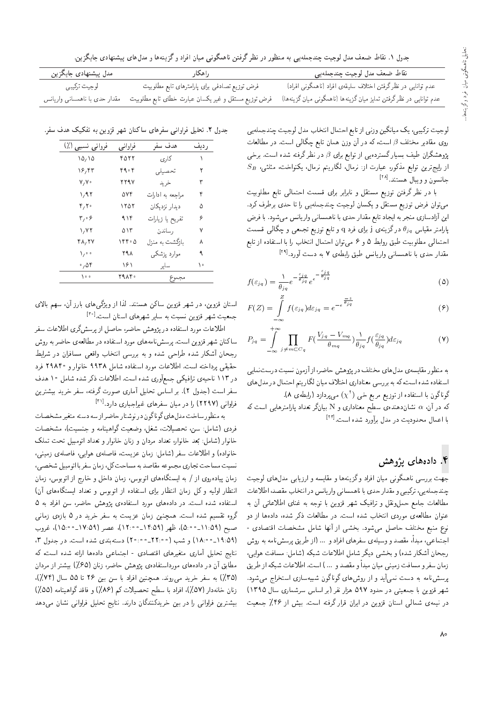جدول ۱. نقاط ضعف مدل لوجیت چندجملهیی به منظور در نظر گرفتن ناهمگونی میان افراد وگزینهها و مدلهای پیشنهادی جایگزین.

| مدل پیشنهادی جایگزین          | راهكار                                              | نقاط ضعف مدل لوجيت چندجملهيبي                                       |
|-------------------------------|-----------------------------------------------------|---------------------------------------------------------------------|
| لوجيت تركيبي                  | فرض توزیع تصادفی برای پارامترهای تابع مطلوبیت       | عدم توانایی در نظرگرفتن اختلاف سلیقهی افراد (ناهمگونی افراد)        |
| مقدار حدى با ناھمسانى واريانس | فرض توزیع مستقل و غیر یکسان عبارت خطای تابع مطلوبیت | عدم توانایی در نظر گرفتن تمایز میان گزینهها (ناهمگونی میان گزینهها) |

|}xrtHOvJ C}Hwr pOt ?=NDv= p=tDL= `@=D R= |vRwu}ov=}t l} '|@}mQD C}Hwr روی مقادیر مختلف 8 است، که در آن وزن همان تابع چگالمی است. در مطالعات<br>میگیامید و با استفاده استفاده استفاده میشدند که استفاده پژوهشگران طیف بسیارگستردهیی از توابع برای  $\beta$  در نظرگرفته شده است. برخی  $S_B$  'از رایج $\tilde{\tau}$ وین توابع مذکور، عبارت از: نرمال، لگاریتم نرمال، یکنواخت، مثلثی، جانسون و ویبال هستند.<sup>[۱۸]</sup><br>ا

با در نظر گرفتن توزیع مستقل و نابرابر برای قسمت احتمالی تابع مطلوبیت میتوان فرض توزیع مستقل و یکسان لوجیت چندجملهیی را تا حدی برطرف کرد. این آزادسازی منجربه ایجاد تابع مقدار حدی با ناهمسانی واریانس میشود. با فرض پارامتر مقیاس  $\theta_{jq}$  درگزینه $\,$  j برای فرد  $\,$  و تابع توزیع تجمعی و چگالبی قسمت احتمالی مطلوبیت طبق روابط ۵ و ۶ می توان احتمال انتخاب را با استفاده از تابع مقدار حدی با ناهمسانی واریانس طبق رابطهی ۷ به دست آورد.<sup>[۱۶</sup>]<br>.

$$
f(\varepsilon_{jq}) = \frac{1}{\theta_{jq}} e^{-\frac{\varepsilon_{jq}}{\theta_{jq}}} e^{-\frac{\varepsilon_{jq}}{\theta_{jq}}} \tag{4}
$$

$$
F(Z) = \int_{-\infty}^{Z} f(\varepsilon_{jq}) d\varepsilon_{jq} = e^{-e^{\frac{-z}{\theta_{jq}}}}
$$
(9)

$$
P_{jq} = \int_{-\infty}^{+\infty} \prod_{j \neq m \subset C_q} F\left(\frac{V_{jq} - V_{mq}}{\theta_{mq}}\right) \frac{\lambda}{\theta_{jq}} f\left(\frac{\varepsilon_{jq}}{\theta_{jq}}\right) d\varepsilon_{jq}
$$
(Y)

به متصور مقایسهی مدل های محتلف در پروهس حاصر، از آزمون سنیت درست نمایی<br>استاد مدیر است ک |سیفا ده سده است) که به بررسی معتاداری احتلاف میان لکار یتم احتمال در مدل های<br>گیاگی سالمیتان است است گوناگون با استفاده از توزیع مربع خبی ( `x) می پردازد (رابطهءی A).<br>بر مستمد توره می بردن می بردن می بردن می بردن استفاده بردن استفاده که در آن،  $\alpha$  نشان۱هنده سطح معناداری و N بیانگر تعداد پارلمترهایی است که با اعمال محدودیت در مدل برآورد شده است.<sup>[۲۳]</sup><br>.

#### ۴. دادەھاي پژوهش

جهت بررسی ناهمگونی میان افراد و گزینهها و مقایسه و ارزیابی مدلهای لوجیت<br>چندجملهیی، ترکیبی و مقدار حدی با ناهمسانی واریانس در انتخاب مقصد، اطلاعات چند جمله یی، ترکیبی و مقدار حدی با تا همسایی وار یا نس در آن حاب مقصد، اطلاعات<br>با الله الله علی است الله علیه محمد مقدار الله علیه الله علیه الله علیه الله علیه الله علیه الله علیه الله x@ u; |D=aq]= |=ve x@ xHwD =@ u}wRk QyW l}i=QD w pkvwptL `t=H C=ar=]t wO R= =yxO=O 'xOW QmP C=ar=]t QO "CU= xOW ?=NDv= |OQwt |xar=]t u=wva نوع منبع مختلف حاصل میشود. بخشی از آنها شامل مشخصات اقتصادی -<br>اسطول میشود تصویر اجتماعی، مبدأ، مقصد و وسیلهی سفرهای افراد و … (از طریق پرسشنامه به روش<br>رجحان آشکار شده) و بخشبی دیگر شامل اطلاعات شبکه (شامل: مسافت هوایی، رجحان اسکار سده) و بحسی دیگر سامل اطلاعات سبکه اسامل: مسافت هوایی؛<br>استفاده استفاده و سال میشود. زمان سفرو مسافت زمینی میان مبدا و مقصد و … ) است. اطلاعات شبکه از طریق<br>. پرسشنامه به دست نمی آید و از روشهای گوناگون شبیهسازی استخراج می شود. شهر قزوین با جمعیتی در حدود ۵۹۷ هزار نفر (بر اساس سرشماری سال ۱۳۹۵) در نیمهی شمالی استان قزوین در ایران قرار گرفته است. بیش از ۴۶٪ جمعیت

جدول ۲. تحلیل فراوانی سفرهای ساکنان شهر قزوین به تفکیک هدف سفر.

| فروانی نسببی (٪)    | فراواني | هدف سفر          | ر دیف |
|---------------------|---------|------------------|-------|
| ۱۵٬۱۵               | ۴۵۲۲    | کاری             |       |
| ۱۶٬۴۳               | ۴۹۰۴    | تحصيلى           | ۲     |
| V, V                | ۲۲۹۷    | خريد             | ٣     |
| 1.97                | ۵۷۴     | مراحعه به ادارات | ۴     |
| 4,7                 | ۱۲۵۲    | دیدار نزدیکان    | ۵     |
| $r, \cdot$ ۶        | ۹۱۴     | تفريح يا زيارات  | ۶     |
| 1, 77               | ۵۱۳     | رساندن           | ٧     |
| 48, 27              | ۰۴۴۰ کا | بازگشت به منزل   | ٨     |
| $\setminus$ $\circ$ | ۲۹۸     | موارد پزشکی      | ٩     |
| $\cdot$ ,04         | ۱۶۱     | ساير             | ه ۱   |
| ه ۱۰                | ۲۹۸۴۰   | مجموع            |       |

استان قزوین، در شهر قزوین ساکن هستند. لذا از ویژگی های بارز آن، سهم بالای جمعیت شهر قزوین نسبت به سایر شهرهای استان است.<sup>۱۳۰</sup><br>با الکولیت

اطلاعات مورد استفاده در پژوهش حاضر، حاصل از پرسشگری اطلاعات سفر ساکنان شهر قزوین است. پرسشiامههای مورد استفاده در مطالعه ی حاضر به روش رجحان آشکار شده طراحی شده و به بررسی انتخاب واقعی مسافران در شرایط<br>حقیقی پرداخته است. اطلاعات مورد استفاده شامل ۹۹۳۸ خانوار و ۲۹۸۴۰ فرد حقیقی پرداخته است. اطلاعات مورد استفاده سامل ۱۱۸ حانوار و ۱۸۸۰ و فرد<br>- سردریابی استفاده کرد. از آلمان استفاده استفاده استفاده استفاده استفاده در ۱۱۱ تاجیه ی ترافیکی جمع اوری سده است. اطلاعات دنر سده سامل ۱۰ هدف<br>مساحت استخدام الاسترات المیلیات سفر است (جدول ۲). بر اساس تحلیل آماری صورت گرفته، سفر خرید بیشترین فاووانی (۲۲۹۷) را در میان سفرهای غیراجباری دارد.<sup>[۳۱]</sup><br>منا

به متطور ساخت مدل های تونا تون در نوستار خاصر از سه دسته متغیر مسجصات<br>-<br>- \ د ا با دردی (سامل: سن، تحصیلات، سعل، وصعیب دواهینامه و جستیب)، مسحصات<br>مادا (دارار میدواداری با سال استفاده استفاداری استفاده استفاده بعد حانوار، نعداد مردان و زبان حانوار و بعداد انومبیل بحث نملات<br>مات مقاطر استان من شرقان استفاد استفاد استفاد است خانوار (شامل: بَعد خانوار، تعداد مردان و زنان خانوار و تعداد اتومبيل تحت تملک '|v}tR |xrY=i '|}=wy |xrY=i 'Ct} Ra u=tR %pt=W QiU C=aq]= w xO=wv=N نسبت مساحت تجاري مجموعه مقاصد به مساحت كل، زمان سفر با اتومبيل شخصيي، زمان پیادهروی از / به ایستگاههای اتوبوس، زمان داخل و خارج از اتوبوس، زمان انتظار اولیه و کل زمان انتظار برای استفاده از اتوبوس و تعداد ایستگاههای آن)<br>استفاده شده است. در دادههای مورد استفادهی پژوهش حاضر، سن افراد به ۵ استفاده سده است. در دادههای مورد استفادهی پژوهس حاصر، سن افزاد به ۱۷<br>گ دروه نفسیم سده است. همچنین زمان عزیمت به سفر حرید در ۱۷ بازه2 زمانی<br>۱۰ (۱۸ مـ د ۱۱ ـ ۱۸ ـ ۱۸ ـ ۱۸ مـ د ۱۷۰ ـ ۱۸ ـ ۱۸ ـ ۱۸ ـ ۱۸ ـ ۱۸ ـ ۱۸ ـ صبح (١١:٥٩\_٥٠٥)، ظهر (١۴:٥٩\_٢٠٥٠)، عصر (١٧:٥٩\_٢٥٠٠)، غروب (۱۸:۰۰- ۱۸:۰۰) و شب (۲۲:۰۰۰- ۲۰:۰۰) دستهبندی شده است. در جدول ۳، نتايج تحليل آماري متغيرهاي اقتصادي - اجتماعي دادهها ارائه شده است، كه مطابق آن در دادههای مورداستفادهی پژوهش حاضر، زنان (۶۵٪) بیشتر از مردان (٣٥٪) به سفر خريد مي روند. همچنين افراد با سن بين ٢۶ تا ٥٥ سال (٧۴٪). زنان خانهدار (۵۷٪)، افراد با سطح تحصیلات کم (۸۶٪) و فاقد گواهینامه (۵۵٪) بیشترین فراوانی را در بین خریدکنندگان دارند. نتایج تحلیل فراوانی نشان میدهد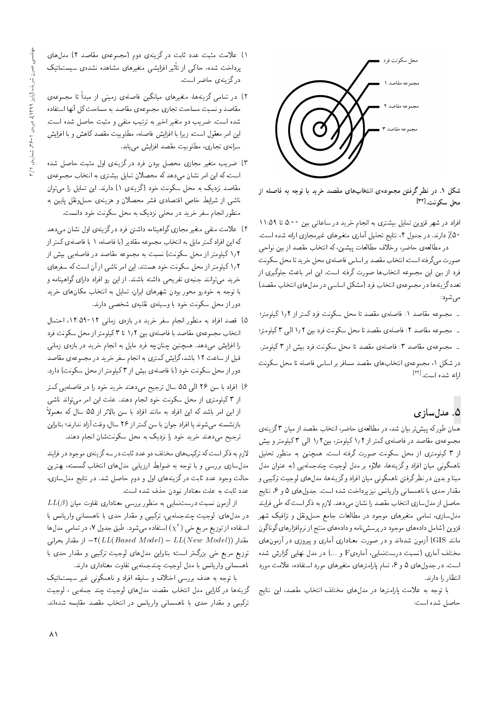

شکل ۱. در نظر گرفتن مجموعهی انتخابهای مقصد خرید با توجه به فاصله از محل سكونت.[۳۲]

افراد در شهر قزوین تمایل بیشتری به انجام خرید در ساعاتی بین ۵:۰۰ تا ۱۱:۵۹ \*۵٪ دارند. در جدول ۴، نتايج تحليل أمارى متغيرهاى غيرمجازى ارائه شده است.

در مطالعهي حاضر، برخلاف مطالعات پيشين، كه انتخاب مقصد از بين نواحي صورت مى گرفته است، انتخاب مقصد بر اساس فاصله ى محل خريد تا محل سكونت .<br>فرد از بین این مجموعه انتخابها صورت گرفته است. این امر باعث جلوگیری از تعدد گزينهها در مجموعهى انتخاب فرد (مشكل اساسى در مدل هاى انتخاب مقصد) می شود:

= مجموعه مقاصد ١: فاصلهى مقصد تا محل سكونت فرد كمتر از ١/٢ كيلومتر؛

= مجموعه مقاصد ٢: فاصلهى مقصد تا محل سكونت فرد بين ١/٢ الى ٣ كيلومتر؛

- مجموعهى مقاصد ٣: فاصلهى مقصد تا محل سكونت فرد بيش از ٣ كيلومتر.

در شکل ۱، مجموعهى انتخاب هاى مقصد مسافر بر اساس فاصله تا محل سکونت ارائه شده است.<sup>[۳۲]</sup>

# ۵. مدلسازی

همان طوركه پیش تر بیان شد، در مطالعهى حاضر، انتخاب مقصد از میان ۳ گزینهى مجموعهى مقاصد در فاصلهى كمتر از ١٫٢ كيلومتر، بين١,٢ الى ٣ كيلومتر و بيش از ۳ کیلومتری از محل سکونت صورت گرفته است. همچنین به منظور تحلیل ناهمگونی میان افراد و گزینهها، علاوه بر مدل لوجیت چندجملهیی (به عنوان مدل<br>مبنا و بدون در نظرگرفتن ناهمگونی میان افراد وگزینهها، مدلهای لوجیت ترکیبی و مبنا و بدون در نظر درفتن ناهمدونی میآن افراد و در سه ها، مدل های نوجیت برتیبی و<br>تقاریبا G}=Dv '6 w 5 |=ypwOH "CU= xOW CN=OQB R}v Tv=}Q=w |v=Uty=v =@ |OL Q=Okt حاصل از مدلسازی انتخاب مقصد را نشان میدهد. لازم به ذکر است که طی فرایند<br>مدلسازی، تمامی متغیرهای موجود در مطالعات جامع حملونقل و ترافیک شهر مدل سازی، سامی معیرهای موجود در مصانعات جامع حمل وهل و برافیک سهر<br>-<br>-دروین اسامل دادههای موجود در پرسس نامه و دادههای مسج از نزم افزارهای دونا دون<br>این COTG آ مانند GIS) آزمون شدهاند و در صورت معناداری آماری و پیروزی در آزمون های مختلف آماری (نسبت درستنمایی، آمارهیF و …) در مدل نهایی گزارش شده است. در جدول های ۵ و ۶، تمام پارامترهای متغیرهای مورد استفاده، علامت مورد انتظار را دارند.

با توجه به علامت پارامترها در مدلهای مختلف انتخاب مقصد، این نتایج حاصل شده است:

- ۱) علامت مثبت عدد ثابت در گزینهی دوم (مجموعهی مقاصد ۲) مدل های پرداخت شده، حاکی از تاتیر افزایشی متغیرهای مشاهده نشدهی سیستماتیک<br>به گفت در گزینهی حاضر است.
- مقاصد و نسبت مساحت تجارى مجموعهى مقاصد به مساحت كل آنها استفاده ۲) در تمامی گزینهها، متغیرهای میانگین فاصلهی زمینی از مبدأ تا مجموعهی مقاصد و سبب مساحب بجاری مجموعهی مقاصد به مساحب تل آنها استفاده<br>. سده است. صریب دو متعیر احیر به ترسب متفی و متبت حاصل سده است.<br>استاد است: استاد استاد استاد استاد و استاد با تصریح استاد است. این امر معقول است، زیرا با افزایش فاصله، مطلوبیت مقصد کاهش و با افزایش سرانهی تجاری، مطلوبیت مقصد افزایش مییابد.<br>۳) ضریب متغیر مجازی محصل بودن فرد درگزینهی اول مثبت حاصل شده
- ۱۱ صریب منعیر مجازی محصل بودن فرد در دریدی اول منبت حاصل سده<br>المحمد المستقل استقلید کرد که اور عالم معمولات انتخاب |xawtHt ?=NDv= x@ |QDW}@ p}=tD uqYLt xm OyO|t u=Wv Qt=u}= xm 'CU= مقاصد نزدیک به محل سکونت خود (گزینهی ۱) دارند. این تمایل را می توان ناشی از شرایط خاص اقتصادی قشر محصلان و هزینهی حملونقل پایین به منظور انجام سفر خرید در محلی نزدیک به محل سکونت خود دانست.
- ۴) علامت منفی متغیر مجازی گواهینامه داشتن فرد درگزینهی اول نشان می4هد<br>که این افرادکمتر مایل به انتخاب مجموعه مقادیر (با فاصله، ۱ با فاصلهی کمتر از ۱٫۲ کیلومتر از محل سکونت) نسبت به مجموعه مقاصد در فاصلهیی بیش از ۲۱۱ لیدومتر از محل سدوس) بسبب به مجموعه مقاصد در قاصدهیی بیس از<br>س ۲۸ کار سال میکنند و دست سود استان استان استان که در این |=yQiU xm CU= u; R= |W=v Qt=u}= "OvDUy OwN CvwmU pLt R= QDtwr}m 1 2 خرید می توانند جنبه ی تفریحی داشته باشند. از این رو افراد دارای گواهینامه و با توجه به خودرو محور بودن شهرهاى ايران، تمايل به انتخاب مكان هاى خريد دور از محل سکونت خود با وسیلهی نقلیهی شخصبی دارند.
- ۵) قصد افراد به منظور انجام سفر خرید در بازهی زمانی ۱۲-۱۴:۵۹- احتمال<br>انتخاب مجموعهی مقاصد با فاصلهی بین ۱٫۲ تا ۳ کیلومتر از محل سکونت فرد اسحاب مجموعهی مقاصد با قاصلهی بین ۱٫۱ تا ۱ لیلومتر از محل سدونت قرد<br>اینکه استفاده را افزایس می دهد. همچنین چمان چه قرد مایل به انجام خرید در بازوی زمانی<br>- ایل اینکه این کار مرکز میدان قبل از ساعت ۱۲ باشد،گرایش کمتری به انجام سفر خرید در مجموعهی مقاصد دور از محل سکونت خود (با فاصلهى بيش از ۳ کيلومتر از محل سکونت) دارد.
- ۶) افراد با سن ۲۶ الی ۵۵ سال ترجیح میدهند خرید خود را در فاصلهیی کمتر از ۳ کیلومتری از محل سکونت خود انجام دهند. علت این امر می تواند ناشی از این امر باشد که این افراد به مانند افراد با سن بالاتر از ۵۵ سال که معمولاً بازنشسته می شوند یا افراد جوان با سن کمتر از ۲۶ سال، وقت آزاد ندارند؛ بنابراین ترجیح می۵هند خرید خود را نزدیک به محل سکونتشان انجام دهند.

لازم به ذکر است که ترکیب های مختلف دو عدد ثابت در سه گزینه ی موجود در فرایند مدلسازی بررسی و با توجه به ضوابط ارزیابی مدلهای انتخاب گسسته، بهترین حالت وجود عدد ثابت درگزینههای اول و دوم حاصل شد. در نتایج مدل سازی، عدد ثابت به علت معنادار نبودن حذف شده است.

 $LL(\beta)$  از آزمون نسبت درست $L$ نمایی به منظور بررسی معناداری تفاوت میان در مدل۱عای: لوجیت چندجملهیی، ترکیبی و مقدار حدی با ناهمسانی واریانس با استفاده از توزیع مربع خبی ( 'x) استفاده میشود. طبق جدول ۷، در تمامی مدلها<br>استفاده از کاربر کاربر کاربر کاربر کاربر کاربر ۲۰ و ۲۰ میلاد مقدار ((Vew  $M$ odel) - از مقدار بحرانبی (۲ $(LL(Based\ Model) - LL(New\ Model))$ توزیع مربع خی بزرگتر است؛ بنابراین مدلهای لوجیت ترکیبی و مقدار حدی با ناهمسانی واریانس با مدل لوجیت چندجملهیی تفاوت معناداری دارند.

با توجه به هدف بررسی اختلاف و سلیقه افراد و ناهمگونی غیر سیستماتیک گزينهها در كارايي مدل انتخاب مقصد، مدلهاى لوجيت چند جملهيى ، لوجيت ترکیبی و مقدار حدی با ناهمسانی واریانس در انتخاب مقصد مقایسه شدهاند.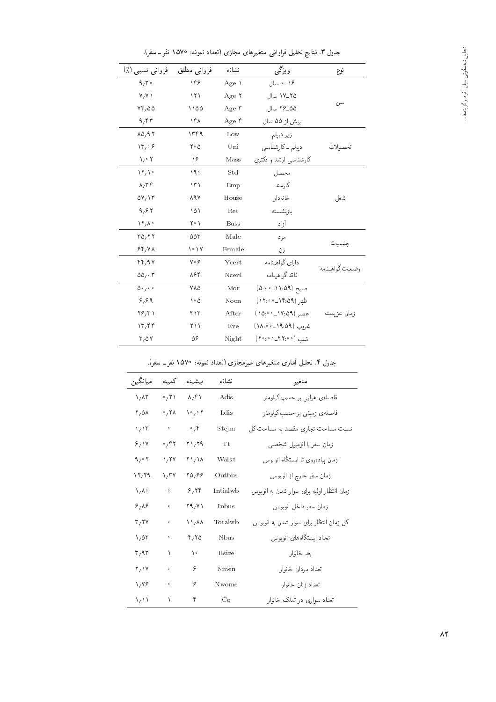| فراوانی نسبی (٪)                        | فراوانبي مطلق               | نشانه             | ویژگی                 | نوع             |
|-----------------------------------------|-----------------------------|-------------------|-----------------------|-----------------|
| 9,5                                     | ۱۴۶                         | Age \             | ١۶_٠ سال              |                 |
| V/V                                     | ۱۲۱                         | Age $\tau$        | ٢٥-١٧ سال             |                 |
| $VT/\Delta\Delta$                       | ۱۱۵۵                        | Age $\mathsf{r}$  | ۵۵_۲۶ سال             | سن              |
| 9,97                                    | ۱۴۸                         | Age $\mathfrak k$ | بیش از ۵۵ سال         |                 |
| $\Lambda \Delta$ , 97                   | ۱۳۴۹                        | Low               | زیر دیپلم             |                 |
| $\mathcal{N}^{\prime}$ of $\mathcal{S}$ | $\mathsf{r}\cdot\mathsf{a}$ | Uni               | دیپلم ۔ کارشناسی      | تحصيلات         |
| $\sqrt{\cdot 7}$                        | ۱۶                          | Mass              | كارشناسي ارشد و دكترى |                 |
| $\mathcal{N}_{1}$                       | ۰۹ (                        | Std               | محصل                  |                 |
| $\lambda, \tau$                         | ۱۳۱                         | Emp               | كارمند                |                 |
| $\Delta V / \Delta T$                   | <b>ARV</b>                  | House             | خانەدار               | شغل             |
| 9,97                                    | ۱۵۱                         | Ret               | بازنشسته              |                 |
| $\mathcal{N}$ / $\mathcal{N}$           | ۲۰۱                         | <b>Buss</b>       | آزاد                  |                 |
| TQ, 77                                  | ۵۵۳                         | Male              | مرد                   |                 |
| 55/4                                    | ۱۰ ۱۷                       | Female            | زن                    |                 |
| rr, qv                                  | $\gamma \cdot \varphi$      | Ycert             | دا رای گوا هینامه     |                 |
| $\Delta \Delta_1 \cdot \tau$            | ۸۶۴                         | Ncert             | فاقد گواهينامه        | وضعيت گواهينامه |
| $\Delta$ ° / $\circ$ $\circ$            | ۷۸۵                         | Mor               | صبح (٥:١١:٥٩) صبح     |                 |
| 8,89                                    | ۵ ۱۰                        | Noon              | ظهر (۱۴:۵۹_۱۲:۰۰)     |                 |
| $Y_{\mathcal{F}}$                       | 417                         | After             | عصر (١٧:٥٩).          | زمان عزيمت      |
| $\mathcal{N}, \mathcal{N}$              | ۲۱۱                         | Eve               | غروب (١٩:٥٩_٢٠٥١)     |                 |
| $r, \omega v$                           | ۵۶                          | Night             | شب (٢٠:٠٥-٢٢)         |                 |

جدول ۳. نتایج تحلیل فراوانی متغیرهای مجازی (تعداد نمونه: ۱۵۷۰ نفر ـ سفر).

جدول ۴. تحلیل آماری متغیرهای غیرمجازی (تعداد نمونه: ۱۵۷۰ نفر ـ سفر).

| ميانگين               | كممينه                        | ىيشىنە              | نشانه          | متغير                                     |
|-----------------------|-------------------------------|---------------------|----------------|-------------------------------------------|
| ۱,۸۳                  | $\cdot$ , $\uparrow \uparrow$ | $\lambda, \Upsilon$ | Adis           | فاصلهى هوايى بر حسب كيلومتر               |
| ۲,۵۸                  | 0,7                           | ۲۰٫۰۲               | Ldis           | فاصلهی زمینے, بر حسب کیلومتر              |
| $\cdot$ , $\lambda$ r | $\bullet$                     | $\cdot$ , ۴         | Stejm          | نسبت مساحت تجاری مقصد به مساحت کل         |
| 8,11                  | ۲ ۲ ۰ ۰                       | $Y \setminus Y$ ۹   | T <sub>t</sub> | زمان سفر با اتومبيل شخصى                  |
| 9,0.7                 | 1.7Y                          | ۲۱, ۱۸              | Walkt          | زمان پیادەروی تا ایستگاه اتوبوس           |
| ۲۲٬۲۹                 | 1.7V                          | 28,67               | $Q$ ut bus     | زمان سفر خارج از اتوبوس                   |
| $\lambda/\lambda$     | $\circ$                       | 5,77                | Intialwh       | زمان انتظار اولیه برای سوار شدن به اتوبوس |
| 8,88                  | $\bullet$                     | Y9, Y1              | Inbus          | زمان سفر داخل اتوبوس                      |
| r, rv                 | $\circ$                       | 11, 11              | Totalwh        | کل زمان انتظار برای سوار شدن به اتوبوس    |
| 1.05                  | $\bullet$                     | $r, r_0$            | <b>N</b> bus   | تعداد ایستگاههای اتوبوس                   |
| ۳٫۹۳                  | ١                             | $\lambda$           | Hsize          | بعد خانوار                                |
| Y/Y                   | $\mathbf 0$                   | ۶                   | Nmen           | تعداد مردان خانوار                        |
| 1,78                  | $\ddot{\mathbf{0}}$           | ۶                   | Nwome          | تعداد زنان خانوار                         |
| いい                    | ١                             | ۴                   | Co             | تعداد سواری در تملک خانوار                |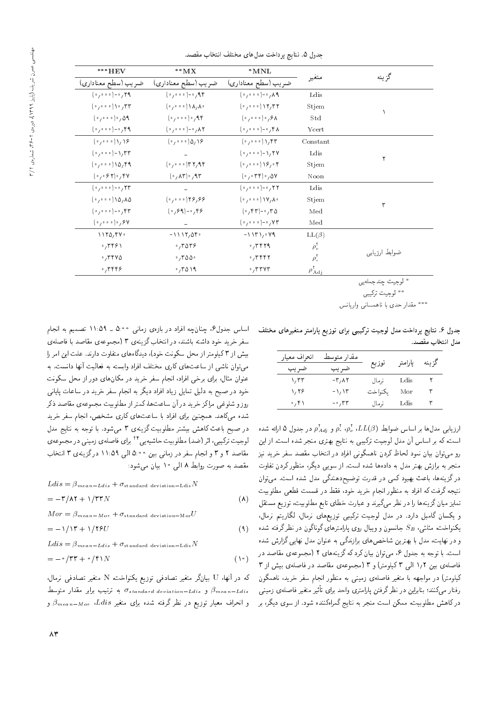| ***HEV                                | $^{\ast\ast}\mathbf{MX}$        | $*MNL$                                               |                         |               |  |
|---------------------------------------|---------------------------------|------------------------------------------------------|-------------------------|---------------|--|
| ضربب (سطح معناداري)                   | ضريب (سطح معناداري)             | ضر یب (سطح معناداری)                                 | متغير                   | گزينه         |  |
| $(0,000)$ - $0,79$                    | $(0,000)$ - $0,90$              | $(0,000)$ - $0,000$                                  | Ldis                    |               |  |
| (0,000)                               | $(0,0.00)$ $(\Lambda, \Lambda)$ | (0,000)                                              | Stjem                   |               |  |
| (0,000)                               | $(0,000)$ , AF                  | (0,0,0,0)                                            | Std                     |               |  |
| $(0,000)$ - $(0,000)$                 | $(0,000)$ - $0,000$             | $(0,000)$ - $(0,000)$                                | Ycert                   |               |  |
| (0,000)                               | $(0,000)$ $(0,18)$              | (0,000)                                              | Constant                |               |  |
| $(0,000)$ - $\gamma$ , $\Gamma\Gamma$ |                                 | $(0,000)$ - 1, YV                                    | Ldis                    |               |  |
| $(0,000)$ $(0,00)$                    | $(0,0.00)$ ۳۲,۹۴                | (0,0.00)                                             | Stjem                   |               |  |
| $(0,0.87)$ , $40$                     | $(0, \Lambda^r)$ , $\Lambda^r$  | $(0,0.79)$ , $0V$                                    | Noon                    |               |  |
| $(0,000)$ - $0,77$                    |                                 | $(0,000)$ - $(0,000)$                                | Ldis                    |               |  |
| $(0,000)$ $(0,00)$                    | (0,0.00)                        | $(0,0.00)$ $\gamma$ $\lambda$                        | Stjem                   | ٣             |  |
| $(0,000)$ - $(0,000)$                 | $(0, 99) - 0, 199$              | $(0, 85)$ - $(0, 85)$                                | Med                     |               |  |
| (0,000)                               |                                 | $(0,000)$ - $0,000$                                  | Med                     |               |  |
| 1170.94.                              | $-1117,080$                     | $-1171,041$                                          | $LL(\beta)$             |               |  |
| .7491                                 | .7059                           | $\cdot$ , ۳۴۲۹                                       | $\rho_c^{\prime}$       |               |  |
| .7790                                 | $\cdot$ , ۳۵۵ $\cdot$           | $\cdot$ , ۳۴۴۲                                       | $\rho$ .                | ضوابط ارزيابي |  |
| $.7$ ۳۴۴۶                             | .7019                           | $\cdot$ , $\mathsf{r}\mathsf{r}\mathsf{v}\mathsf{r}$ | $\rho_{\rm Ad}^{\rm r}$ |               |  |
|                                       |                                 |                                                      |                         | al e a t      |  |

جدول ۵. نتايج برداخت مدل هاى مختلف انتخاب مقصد.

لوجيت چندجملهيي

\*\* لوجيت تركيبي

\*\*\* مقدار حدی با ناهمسانی واریانس

جدول ۶. نتایج پرداخت مدل لوجیت ترکیبی برای توزیع پارامتر متغیرهای مختلف مدل انتخاب مقصد.

| انحراف معيار | مقدار متوسط  |         |         | كز بنه |
|--------------|--------------|---------|---------|--------|
| ضريب         | ضر يب        | توزيع   | يارامتر |        |
| ۱٬۳۳         | -۳,۸۲        | نزمال   | Ldis    |        |
| ۱٬۲۶         | ۱٬۱۳         | يكنواخت | Mor     | ۳      |
| ۰٫۴۱         | $-\cdot$ ,۳۳ | نزمال   | Ldis    |        |

ارزیابی مدل ها بر اساس ضوابط ( $\rho_c^{\rm v}$ ،  $\rho_c^{\rm v}$  ،  $\rho_c^{\rm v}$  و  $\rho_{Adj}^{\rm v}$  در جدول ۵ ارائه شده است، که بر اساس آن مدل لوجیت ترکیبی به نتایج بهتری منجر شده است. از این رو میتوان بیان نمود لحاظ کردن ناهمگونی افراد در انتخاب مقصد سفر خرید نیز منجر به برازش بهتر مدل به دادهها شده است. از سویی دیگر، منظور کردن تفاوت درگزینهها، باعث بهبود کمی در قدرت توضیحدهندگی مدل شده است. می توان نتيجه گرفت كه افراد به منظور انجام خريد خود، فقط در قسمت قطعي مطلوبيت تمایز میان گزینهها را در نظر میگیرند و عبارت خطای تابع مطلوبیت، توزیع مستقل و یکسان گامبل دارد. در مدل لوجیت ترکیبی توزیعهای نرمال، لگاریتم نرمال، یکنواخت، مثلثبی،  $S_B$  جانسون و ویبال روی پارامترهای گوناگون در نظرگرفته شده و در نهایت، مدل با بهترین شاخصهای برازندگی به عنوان مدل نهایی گزارش شده است. با توجه به جدول ۶، می توان بیان کرد که گزینههای ۲ (مجموعهی مقاصد در فاصلهی بین ۱٫۲ الی ۳ کیلومتر) و ۳ (مجموعهی مقاصد در فاصلهی بیش از ۳ کیلومتر) در مواجهه با متغیر فاصلهی زمینی به منظور انجام سفر خرید، ناهمگون رفتار مىكنند؛ بنابراين در نظرگرفتن پارامترى واحد براى تأثير متغير فاصلهى زمينى درکاهش مطلوبیت، ممکن است منجر به نتایج گمراهکننده شود. از سوی دیگر، بر

اساس جدول۶، چنانچه افراد در بازهى زمانى ٥:۰۰ ـ ١١:٥٩ تصميم به انجام سفر خرید خود داشته باشند. در انتخاب گزینهی ۳ (مجموعه ی مقاصد با فاصله ی بیش از ۳ کیلومتر از محل سکونت خود)، دیدگاههای متفاوت دارند. علت این امر را می توان ناشی از ساعت های کاری مختلف افراد وابسته به فعالیت آنها دانست. به عنوان مثال، برای برخی افراد، انجام سفر خرید در مکانهای دور از محل سکونت خود در صبح به دلیل تمایل زیاد افراد دیگر به انجام سفر خرید در ساعات پایانی روز و شلوغی مراکز خرید در آن ساعت ها، کمتر از مطلوبیت مجموعهی مقاصد ذکر .<br>شده میکاهد. همچنین برای افراد با ساعتهای کاری مشخص، انجام سفر خرید در صبح باعث كاهش بيشتر مطلوبيت گزينهى ٣ مى شود. با توجه به نتايج مدل لوجیت ترکیبی، اثر (ضد) مطلوبیت حاشیهییی ۲۴ برای فاصلهی زمینی در مجموعهی مقاصد ٢ و ٣ و انجام سفر در زمانی بین ٥:٠٥ الی ١١:٥٩ درگزینه، ٣ انتخاب مقصد به صورت روابط ۸ البی ۱۰ بیان میشود:

$$
Ldis = \beta_{mean-Ldis} + \sigma_{standard\ deviation-Ldis} N
$$

$$
= -\mathbf{r}/\mathbf{A}\mathbf{r} + \mathbf{1}/\mathbf{r}\mathbf{r}N \tag{A}
$$

 $M \text{ or } = \beta_{mean - Mor} + \sigma_{standard deviation - Mor} U$ 

$$
= -1/\Gamma + 1/\Gamma^2 U \tag{4}
$$

 $Ldis = \beta_{mean-Ldis} + \sigma_{standard\ deviation-Ldis}N$ 

$$
= -\circ / \mathsf{TT} + \circ / \mathsf{f} \setminus N \tag{1}
$$

كه در آنها، U بيانگر متغير تصادفي توزيع يكنواخت، N متغير تصادفي نرمال، و  $\sigma_{standard\ deviation-Ldis}$  به ترتیب برابر مقدار متوسط  $\sigma_{standard\ deviation-Ldis}$ و انحراف معیار توزیع در نظر گرفته شده برای متغیر Ldis،  $\beta_{mean-Mor}$  و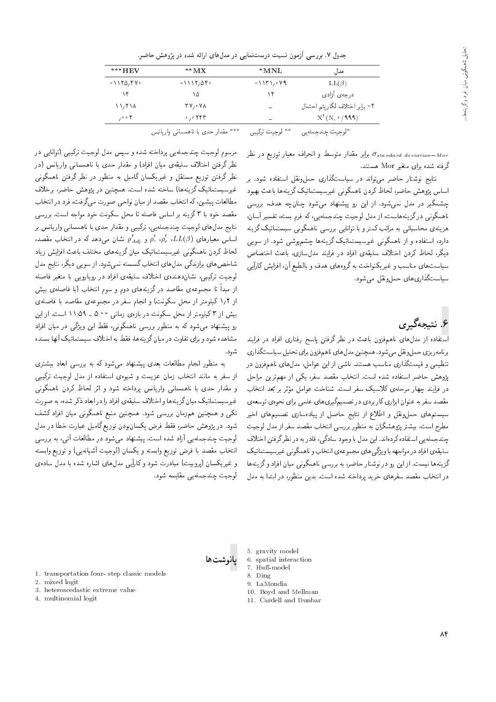|  |  |  |  | جدول ۷. بررسی آزمون نسبت درست:مایی در مدلهای ارائه شده در پژوهش حاضر. |  |  |  |  |
|--|--|--|--|-----------------------------------------------------------------------|--|--|--|--|
|--|--|--|--|-----------------------------------------------------------------------|--|--|--|--|

| $***$ HEV                 | $*^*M X$                                | *MNL        | مدل                            |
|---------------------------|-----------------------------------------|-------------|--------------------------------|
| $-1170.91$                | $-1117,050$                             | $-1171,099$ | $LL(\beta)$                    |
| ۱۴                        | ۱۵                                      | ۱۲          | درجهى آزادى                    |
| $\binom{1}{1}$            | $\mathbf{y}_1 \cdot \mathbf{y}_2$       | -           | ٢- برابر اختلاف لگاريتم احتمال |
| $, \circ \circ \curlyvee$ | $\circ$ , $\circ$ $\uparrow$ $\uparrow$ | -           | $X^{\dagger}(N, \cdot/999)$    |
|                           |                                         |             |                                |

\*\*\* مقدار حدی با ناهمسانی واریانس \*\* لوجيت تركيبي \*لوجيت چندجملهيي

> برابر مقدار متوسط و انحراف معیار توزیع در نظر  $\sigma_{standard\ deviation - M}$ گرفته شده برای متغیر Mor هستند.

> نتایج نوشتار حاضر مهرتواند در سیاستگذاری حمل،ونقل استفاده شود. بر اساس يژوهش حاضر، لحاظ كردن ناهمگونى غيرسيستماتيک گزينهها باعث بهبود چشمگیر در مدل نمیشود. از این رو پیشنهاد می شود چنانچه هدف، بررسی ناهمگونی درگزینههاست، از مدل لوجیت چندجملهیی، که فرم بسته، تفسیر آسان، هزینهی محاسباتی به مراتب کمتر و با توانایی بررسی ناهمگونی سیستماتیک گزینه دارد، استفاده و از ناهمگونی غیرسیستماتیک گزینهها چشمپوشی شود. از سویی دیگر، لحاظ کردن اختلاف سلیقهی افراد در فرایند مدلسازی، باعث اختصاص سیاست های مناسب و غیریکنواخت به گروههای هدف و بالطبع آن، افزایش کارآیی سیاستگذاری های حمل ونقل می شود.

### ۶. نتېچەگىرى

استفاده از مدل،های ناهمفزون باعث در نظر گرفتن پاسخ رفتاری افراد در فرایند برنامهر بزی حمل ونقل می شود. همچنین مدل های ناهم فزون برای تحلیل سیاستگذاری تنظیمی و قیمتگذاری مناسب هستند. ناشی از این عوامل، مدلهای ناهمفزون در پژوهش حاضر استفاده شده است. انتخاب مقصد سفر، یکی از مهمترین مراحل در فرایند چهار مرحلهی کلاسیک سفر است. شناخت عوامل مؤثر بر بَعد انتخاب مقصد سفر به عنوان ابزاري كاربردي در تصميمگيري هاي علمي براي نحوهي توسعهي سیستمهای حملونقل و اطلاع از نتایج حاصل از پیادهسازی تصمیمهای اخیر مطرح است. بیشتر پژوهشگران به منظور بررسی انتخاب مقصد سفر از مدل لوجیت چندجملهیی استفاده کردهاند. این مدل با وجود سادگی، قادر به در نظرگرفتن اختلاف سلیقهی افراد در مواجهه با و بژگی های مجموعهی انتخاب و ناهمگونی غیرسیستماتیک گزینهها نیست. از این رو در نوشتار حاضر، به بررسی ناهمگونی میان افراد و گزینهها در انتخاب مقصد سفرهای خرید برداخته شده است. بدین منظور، در ابتدا به مدل

مرسوم لوجیت چندجمله یی پرداخته شده و سپس مدل لوجیت ترکیبی (توانایی در نظر گرفتن اختلاف سلیقهی میان افراد) و مقدار حدی با ناهمسانی واریانس (در نظر گرفتن توزیع مستقل و غیریکسان گامبل به منظور در نظر گرفتن ناهمگونبی غیرسیستماتیک گزینهها) ساخته شده است. همچنین در پژوهش حاضر، برخلاف مطالعات پیشین، که انتخاب مقصد از میان نواحی صورت می گرفت، فرد در انتخاب مقصد خود با ۳ گزینه بر اساس فاصله تا محل سکونت خود مواجه است. بررسی .<br>نتايج مدلهاي لوجيت چندجملهيي، تركيبي و مقدار حدي با ناهمساني واريانس بر اساس معیارهای  $\rho_c^{\rm v}$ ،  $\rho_c^{\rm v}$  و  $\rho_{Adj}^{\rm v}$  نشان می دهد که در انتخاب مقصد، لحاظ کردن ناهمگونی غیرسیستماتیک میان گزینههای مختلف باعث افزایش زیاد شاخص های برازندگی مدل های انتخاب گسسته نمی شود. از سویی دیگر، نتایج مدل لوجیت ترکیبی، نشاندهندهی اختلاف سلیقهی افراد در رویارویی با متغیر فاصله از مبدأ تا مجموعهى مقاصد درگزينههاى دوم و سوم انتخاب (با فاصلهى بيش از ۱٫۲ کیلومتر از محل سکونت) و انجام سفر در مجموعهی مقاصد با فاصلهی بیش از ۳ کیلومتر از محل سکونت در بازهی زمانی ۵:۰۰ ـ ۱۱:۵۹ است. از این رو پیشنهاد می شود که به منظور بررسی ناهمگونی، فقط این ویژگی در میان افراد مشاهده شود و برای تفاوت در میانگزینهها، فقط به اختلاف سیستماتیک آنها بسنده شو د.

به منظور انجام مطالعات بعدی پیشنهاد می شود که به بررسی ابعاد بیشتری از سفر به مانند انتخاب زمان عزیمت و شیوهی استفاده از مدل لوجیت ترکیبی و مقدار حدی با ناهمسانی واریانس پرداخته شود و اثر لحاظ کردن ناهمگونی غیرسیستماتیک میان گزینهها و اختلاف سلیقهی افراد را در ابعاد ذکر شده، به صورت تکی و همچنین همزمان بررسی شود. همچنین منبع ناهمگونی میان افراد کشف شود. در پژوهش حاضر، فقط فرض یکسان بودن توزیع گامبل عبارت خطا در مدل لوجیت چندجمله یی آزاد شده است. پیشنهاد میشود در مطالعات آنی، به بررسی انتخاب مقصد با فرض توزيع وابسته و يكسان (لوجيت أشيانهيي) و توزيع وابسته و غیریکسان (پروبیت) مبادرت شود و کارایی مدل های اشاره شده با مدل ساده ی لەحىت حندحملەيى مقايسە شود.



- 1. transportation four-step classic models
- 2. mixed logit
- 3. heteroscedastic extreme value
- 4. multinomial logit
- 5. gravity model
- 6. spatial interaction
- 7. Huff-model 8. Ding
- 9 LaMondia
- 10. Boyd and Mellman
- 11 Cardell and Dunbar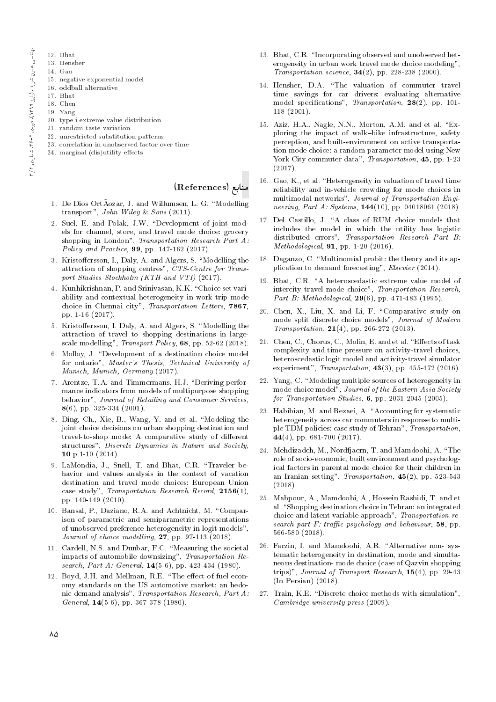- 12. Bhat
- 13. Hensher
- 14. Gao
	- 15. negative exponential model
- 16. oddball alternative
- 17. Bhat
- 18. Chen
- 19. Yang
- 20. type i extreme value distribution
- 21. random taste variation
- 22. unrestricted substitution patterns
- 23. correlation in unobserved factor over time
- 24. marginal (dis)utility effects

#### منابع (References)

- 1. De Dios OrtÃozar, J. and Willumsen, L. G. "Modelling transport", John Wiley & Sons (2011).
- 2. Suel, E. and Polak, J.W. "Development of joint models for channel, store, and travel mode choice: grocery shopping in London", Transportation Research Part A: Policy and Practice, 99, pp. 147-162 (2017).
- 3. Kristoffersson, I., Daly, A. and Algers, S. "Modelling the attraction of shopping centres", CTS-Centre for Transport Studies Stockholm (KTH and VTI) (2017).
- 4. Kunhikrishnan, P. and Srinivasan, K.K. \Choice set variability and contextual heterogeneity in work trip mode choice in Chennai city", Transportation Letters, 7867, pp. 1-16 (2017).
- 5. Kristoffersson, I. Daly, A. and Algers, S. "Modelling the attraction of travel to shopping destinations in largescale modelling", Transport Policy, 68, pp. 52-62 (2018).
- 6. Molloy, J. "Development of a destination choice model for ontario", Master's Thesis, Technical University of Munich, Munich, Germany (2017).
- 7. Arentze, T.A. and Timmermans, H.J. "Deriving performance indicators from models of multipurpose shopping behavior", Journal of Retailing and Consumer Services,  $8(6)$ , pp. 325-334 (2001).
- 8. Ding, Ch., Xie, B., Wang, Y. and et al. "Modeling the joint choice decisions on urban shopping destination and travel-to-shop mode: A comparative study of different structures", Discrete Dynamics in Nature and Society, 10 p.1-10 (2014).
- 9. LaMondia, J., Snell, T. and Bhat, C.R. "Traveler behavior and values analysis in the context of vacation destination and travel mode choices: European Union case study", Transportation Research Record, 2156(1), pp. 140-149 (2010).
- 10. Bansal, P., Daziano, R.A. and Achtnicht, M. \Comparison of parametric and semiparametric representations of unobserved preference heterogeneity in logit models", Journal of choice modelling, **27**, pp. 97-113 (2018).
- 11. Cardell, N.S. and Dunbar, F.C. \Measuring the societal impacts of automobile downsizing", Transportation Research, Part A: General, 14(5-6), pp. 423-434 (1980).
- 12. Boyd, J.H. and Mellman, R.E. "The effect of fuel economy standards on the US automotive market: an hedonic demand analysis", Transportation Research, Part A: General, 14(5-6), pp. 367-378 (1980).
- 13. Bhat, C.R. \Incorporating observed and unobserved heterogeneity in urban work travel mode choice modeling", Transportation science,  $34(2)$ , pp. 228-238 (2000).
- 14. Hensher, D.A. "The valuation of commuter travel time savings for car drivers: evaluating alternative model specifications", Transportation, 28(2), pp. 101-118 (2001).
- 15. Aziz, H.A., Nagle, N.N., Morton, A.M. and et al. "Exploring the impact of walk-bike infrastructure, safety perception, and built-environment on active transportation mode choice: a random parameter model using New York City commuter data", Transportation, 45, pp. 1-23 (2017).
- 16. Gao, K., et al. "Heterogeneity in valuation of travel time reliability and in-vehicle crowding for mode choices in multimodal networks", Journal of Transportation Engineering, Part A: Systems, **144**(10), pp. 04018061 (2018).
- 17. Del Castillo, J. "A class of RUM choice models that includes the model in which the utility has logistic distributed errors", Transportation Research Part B: Methodological, 91, pp. 1-20 (2016).
- 18. Daganzo, C. "Multinomial probit: the theory and its application to demand forecasting", Elsevier (2014).
- 19. Bhat, C.R. \A heteroscedastic extreme value model of intercity travel mode choice", Transportation Research, Part B: Methodological,  $29(6)$ , pp. 471-483 (1995).
- 20. Chen, X., Liu, X. and Li, F. \Comparative study on mode split discrete choice models", Journal of Modern Transportation,  $21(4)$ , pp. 266-272 (2013).
- 21. Chen, C., Chorus, C., Molin, E. and et al. "Effects of task complexity and time pressure on activity-travel choices, heteroscedastic logit model and activity-travel simulator experiment", Transportation, 43(3), pp. 455-472 (2016).
- 22. Yang, C. "Modeling multiple sources of heterogeneity in mode choice model", Journal of the Eastern Asia Society for Transportation Studies, 6, pp. 2031-2045 (2005).
- 23. Habibian, M. and Rezaei, A. "Accounting for systematic heterogeneity across car commuters in response to multiple TDM policies: case study of Tehran", Transportation, 44(4), pp. 681-700 (2017).
- 24. Mehdizadeh, M., Nordfjaern, T. and Mamdoohi, A. \The role of socio-economic, built environment and psychological factors in parental mode choice for their children in an Iranian setting", Transportation,  $45(2)$ , pp. 523-543 (2018).
- 25. Mahpour, A., Mamdoohi, A., Hossein Rashidi, T. and et al. "Shopping destination choice in Tehran: an integrated choice and latent variable approach", Transportation research part  $F$ : traffic psychology and behaviour, 58, pp. 566-580 (2018).
- 26. Farzin, I. and Mamdoohi, A.R. "Alternative non- systematic heterogeneity in destination, mode and simultaneous destination- mode choice (case of Qazvin shopping trips)", Journal of Transport Research,  $15(4)$ , pp. 29-43 (In Persian) (2018).
- 27. Train, K.E. "Discrete choice methods with simulation", Cambridge university press (2009).